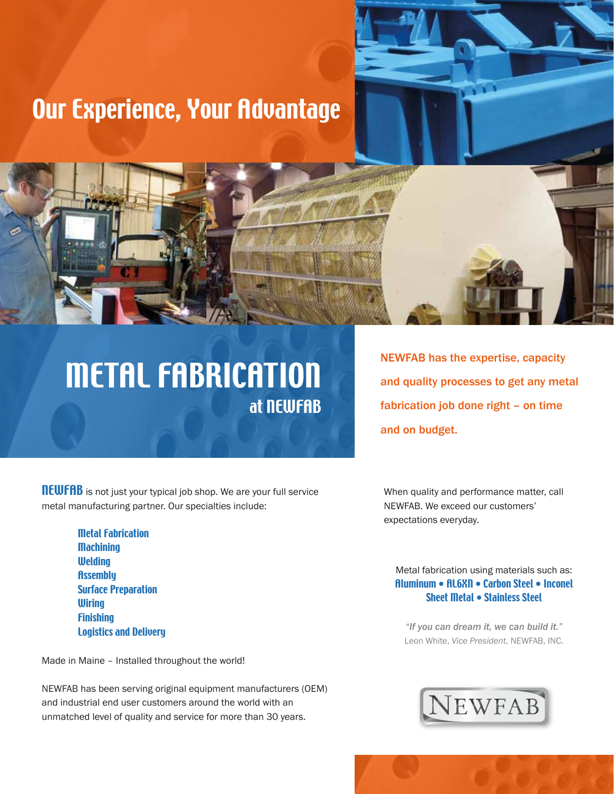## Our Experience, Your Advantage

# METAL FABRICATION at NEWFAB

NEWFAB has the expertise, capacity and quality processes to get any metal fabrication job done right – on time and on budget.

**NEWFAB** is not just your typical job shop. We are your full service metal manufacturing partner. Our specialties include:

> Metal Fabrication **Machining Welding Assembly**  Surface Preparation **Wiring Finishing** Logistics and Delivery

Made in Maine – Installed throughout the world!

NEWFAB has been serving original equipment manufacturers (OEM) and industrial end user customers around the world with an unmatched level of quality and service for more than 30 years.

When quality and performance matter, call NEWFAB. We exceed our customers' expectations everyday.

### Metal fabrication using materials such as: Aluminum • AL6XN • Carbon Steel • Inconel Sheet Metal • Stainless Steel

*"If you can dream it, we can build it."*  Leon White, *Vice President*, NEWFAB, INC.